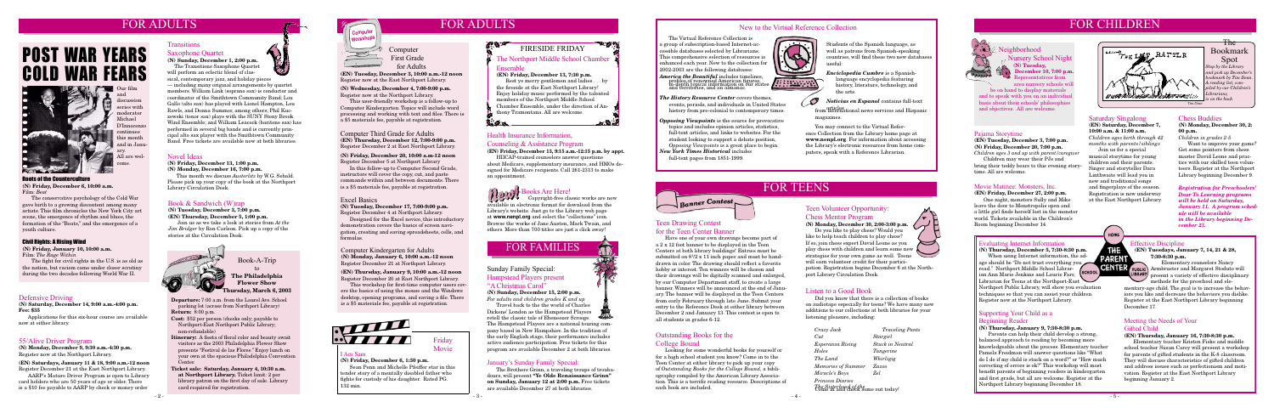## **FOR ADULTS**

#### **Novel Ideas**

**(N) Friday, December 13, 1:00 p.m.**

**(N) Monday, December 16, 7:00 p.m.** This month we discuss *Austerlitz* by W.G. Sebald. Please pick up your copy of the book at the Northport Library Circulation Desk.

#### **Book & Sandwich (W)rap**

**(N) Tuesday, December 3, 7:00 p.m. (EN) Thursday, December 5, 1:00 p.m.**

Join us as we take a look at stories from *At the Jim Bridger* by Ron Carlson*.* Pick up a copy of the stories at the Circulation Desk.



#### **Defensive Driving**

**(N) Saturday, December 14, 9:00 a.m.-4:00 p.m. Fee: \$35** 

 Applications for this six-hour course are available now at either library.

#### Roots of the Counterculture **(N) Friday, December 6, 10:00 a.m.**

Film: *Beat* 

 The conservative psychology of the Cold War gave birth to a growing discontent among many artists. This film chronicles the New York City art scene, the emergence of rhythm and blues, the formation of the "Beats," and the emergence of a youth culture.

# POST WAR YEARS COLD WAR FEARS



**Departure:** 7:00 a.m. from the Laurel Ave. School parking lot (across from Northport Library) **Return:** 8:00 p.m.

**Cost:** \$52 per person (checks only; payable to Northport-East Northport Public Library; non-refundable)

- **Itinerary:** A fiesta of floral color and beauty await visitors as the 2003 Philadelphia Flower Show presents "Festival de las Flores." Enjoy lunch on your own at the spacious Philadelphia Convention Center.
- **Ticket sale: Saturday, January 4, 10:30 a.m. at Northport Library.** Ticket limit: 2 per library patron on the first day of sale. Library card required for registration.



#### **Book-A-Trip to The Philadelphia Flower Show**

**Thursday, March 6, 2003**

Our film and discussion series with moderator Michael D'Innocenzo continues this month and in January. All are welcome.

#### Civil Rights: A Rising Wind

**(N) Friday, January 10, 10:00 a.m.** Film: *The Rage Within* 

 The fight for civil rights in the U.S. is as old as the nation, but racism came under closer scrutiny during the two decades following World War II.

#### **55/Alive Driver Program**

**(N) Monday, December 9, 9:30 a.m.-4:30 p.m.** Register now at the Northport Library.

#### **(EN) Saturdays, January 11 & 18, 9:00 a.m.-12 noon** Register December 21 at the East Northport Library.

AARP's Mature Driver Program is open to Library card holders who are 50 years of age or older. There is a \$10 fee payable to AARP by check or money order

## **FOR ADULTS**

#### **Health Insurance Information,**

#### **Counseling & Assistance Program**

**(EN) Friday, December 13, 9:15 a.m.-12:15 p.m. by appt.**

HIICAP-trained counselors answer questions about Medicare, supplementary insurance, and HMOs designed for Medicare recipients. Call 261-2313 to make an appointment.

#### **E-Books Are Here!** Copyright-free classic works are now



 **First Grade for Adults**

**(EN) Tuesday, December 3, 10:00 a.m.-12 noon** Register now at the East Northport Library.

#### **(N) Wednesday, December 4, 7:00-9:00 p.m.** Register now at the Northport Library.

This user-friendly workshop is a follow-up to Computer Kindergarten. Topics will include word processing and working with text and files. There is a \$5 materials fee, payable at registration.

**Computer Third Grade for Adults (EN) Thursday, December 12, 7:00-9:00 p.m.** Register December 2 at East Northport Library.

#### **(N) Friday, December 20, 10:00 a.m-12 noon** Register December 5 at Northport Library

In this follow-up to Computer Second Grade, instructors will cover the copy, cut, and paste commands within and between documents. There is a \$5 materials fee, payable at registration.

## **FOR TEENS**

## **FOR CHILDREN**



The Bookmark Spot

*and pick up December's bookmark by Tim Dean.* 

*piled by our Children's* 

*Librarians,* 

#### **Pajama Storytime**

#### **(EN) Tuesday, December 3, 7:00 p.m. (N) Friday, December 20, 7:00 p.m.**



*Children ages 3 and up with parent/caregiver* Children may wear their PJs and bring their teddy bears to this evening storytime. All are welcome.

## **FOR FAMILIES**

#### **Sunday Family Special:**

#### **Hampstead Players present "A Christmas Carol"**

**(N) Sunday, December 15, 2:00 p.m.** 

*For adults and children grades K and up* Travel back to the the world of Charles Dickens' London as the Hampstead Players

retell the classic tale of Ebeneezer Scrooge. The Hampstead Players are a national touring company based in New Hampshire. In the tradition of the early English stage, their performance includes active audience participation. Free tickets for this program are available December 2 at both libraries.

#### **Saturday Singalong**

**(EN) Saturday, December 7, 10:00 a.m. & 11:00 a.m.** *Children ages birth through 42 months with parents/siblings*

 Join us for a special musical storytime for young children and their parents. Singer and storyteller Dara Linthwaite will lead you in new and traditional songs and fingerplays of the season. Registration is now underway at the East Northport Library.

HOME

THE

#### **Evaluating Internet Information**

**(N) Thursday, December 5, 7:30-8:30 p.m.** When using Internet information, the ad-**PARENT** age should be "Do not trust everything you read." Northport Middle School Librar-**SCHOOL** ian Ann Marie Jenkins and Laurie Farr, Librarian for Teens at the Northport-East Northport Public Library, will show you evaluation techniques so that you can assist your children. Register now at the Northport Library.

#### **Effective Discipline**

LIBRARY

**(EN) Tuesdays, January 7, 14, 21 & 28, 7:30-8:30 p.m.**

Elementary counselors Nancy CENTER PUBLIC Armbruster and Margaret Stoduto will present a variety of effective disciplinary methods for the preschool and ele-

 The Transitions Saxophone Quartet will perform an eclectic blend of clas-

> mentary-age child. The goal is to increase the behaviors you like and decrease the behaviors you dislike. Register at the East Northport Library beginning December 17.

#### **Supporting Your Child as a Beginning Reader**

#### **(N) Thursday, January 9, 7:30-8:30 p.m.**

 Parents can help their child develop a strong, balanced approach to reading by becoming more knowledgeable about the process. Elementary teacher Pamela Freidman will answer questions like "What do I do if my child is stuck on a word?" or "How much correcting of errors is ok?" This workshop will most benefit parents of beginning readers in kindergarten and first grade, but all are welcome. Register at the Northport Library beginning December 18.

- *America the Beautiful* includes timelines, profiles of renowned American figures, in-depth topical information on our states and territories, and an almanac.
- *The History Resource Center* covers themes, events, periods, and individuals in United States history from pre-colonial to contemporary times.
- *Opposing Viewpoints* is the source for provocative topics and includes opinion articles, statistics, full-text articles, and links to websites. For the student looking to support a debate position, *Opposing Viewpoints* is a great place to begin.

#### **Movie Matinee: Monsters, Inc.**

#### **(EN) Friday, December 27, 2:00 p.m.**

 One night, monsters Sully and Mike leave the door to Monstropolis open and a little girl finds herself lost in the monster world. Tickets available in the Children's Room beginning December 14.

#### **Meeting the Needs of Your Gifted Child**

#### **(EN) Thursday, January 16, 7:30-8:30 p.m.**

 Elementary teacher Kristen Fiske and middle school teacher Susan Carey will present a workshop for parents of gifted students in the K-8 classroom. They will discuss characteristics of gifted children and address issues such as perfectionism and motivation. Register at the East Northport Library beginning January 2.

**Neighborhood** 

**Nursery School Night (N) Tuesday,** 

**December 10, 7:00 p.m.** Representatives from

area nursery schools will be on hand to display materials and to speak with you on an individual basis about their schools' philosophies and objectives. All are welcome.

#### **Chess Buddies**

**(N) Monday, December 30, 2: 00 p.m.**

*Children in grades 2-5* Want to improve your game? Get some pointers from chess master David Leone and practice with our skilled teen volunteers. Register at the Northport Library beginning December 9.

#### **Teen Volunteer Opportunity: Chess Mentor Program**

#### **(N) Monday, December 30, 2:00-3:00 p.m.**

 Do you like to play chess? Would you like to help teach children to play chess? If so, join chess expert David Leone as you  $\blacktriangleright$ play chess with children and learn some new strategies for your own game as well. Teens will earn volunteer credit for their participation. Registration begins December 6 at the Northport Library Circulation Desk.

**Teen Drawing Contest** 

**for the Teen Center Banner**



**BELLEVILLE** 

 $\mathcal{S}$ 

Have one of your own drawings become part of

a 2 x 12 foot banner to be displayed in the Teen Centers at both library buildings! Entries must be submitted on  $8^{1}/2$  x 11 inch paper and must be handdrawn in color. The drawing should reflect a favorite hobby or interest. Ten winners will be chosen and their drawings will be digitally scanned and enlarged, by our Computer Department staff, to create a large banner. Winners will be announced at the end of January. The banner will be displayed in the Teen Centers from early February through late June. Submit your entry to the Reference Desk at either library between December 2 and January 13. This contest is open to

all students in grades 6-12.

**Outstanding Books for the** 

**College Bound**

 Looking for some wonderful books for yourself or for a high school student you know? Come in to the Teen Center at either library to pick up your copy of *Outstanding Books for the College Bound,* a bibliography compiled by the American Library Association. This is a terrific reading resource. Descriptions of

each book are included.

#### **Listen to a Good Book**

 Did you know that there is a collection of books on audiotape especially for teens? We have many new additions to our collections at both libraries for your listening pleasure, including:

|  | Crazy Jack                                                        | <b>Traveling Pants</b>  |  |  |
|--|-------------------------------------------------------------------|-------------------------|--|--|
|  | Cut                                                               | Stargirl                |  |  |
|  | Esperanza Rising                                                  | <b>Stuck in Neutral</b> |  |  |
|  | Holes                                                             | Tangerine               |  |  |
|  | The Land                                                          | Whirligig               |  |  |
|  | Memories of Summer                                                | Zazoo                   |  |  |
|  | Miracle's Boys                                                    | Zel.                    |  |  |
|  | <i>Princess Diaries</i>                                           |                         |  |  |
|  | <i>The Sisterhood of the</i><br>Come in and check some out today! |                         |  |  |
|  |                                                                   |                         |  |  |

 $-4$ 

#### **Excel Basics**

**(N) Tuesday, December 17, 7:00-9:00 p.m.** Register December 4 at Northport Library.

 Designed for the Excel novice, this introductory demonstration covers the basics of screen navigation, creating and saving spreadsheets, cells, and formulas.

 The Virtual Reference Collection is a group of subscription-based Internet-accessible databases selected by Librarians. This comprehensive selection of resources is enhanced each year. New to the collection for 2002-2003 are the following databases:

#### **January's Sunday Family Special:**

 The Brothers Grinn, a traveling troupe of troubadours, will present **"Ye Olde Renaissance Grinn" on Sunday, January 12 at 2:00 p.m.** Free tickets are available December 27 at both libraries.

Students of the Spanish language, as well as patrons from Spanish-speaking countries, will find these two new databases useful:

*Enciclopedia Cumbre* is a Spanish language encyclopedia featuring history, literature, technology, and the arts.

*Noticias en Espanol* contains full-text

#### **New to the Virtual Reference Collection**

**Computer Kindergarten for Adults (N) Monday, January 6, 10:00 a.m.-12 noon** Register December 21 at Northport Library.

#### **(EN) Thursday, January 9, 10:00 a.m.-12 noon** Register December 20 at East Northport Library.

This workshop for first-time computer users covers the basics of using the mouse and the Windows desktop, opening programs, and saving a file. There is a \$5 materials fee, payable at registration.



#### **I Am Sam**

**(N) Friday, December 6, 1:30 p.m.** Sean Penn and Michelle Pfeiffer star in this tender story of a mentally disabled father who fights for custody of his daughter. Rated PG. 132 min.

**Friday Movie**

## **Transitions**

#### **Saxophone Quartet (N) Sunday, December 1, 2:00 p.m.**

articles from international news services and Hispanic magazines.

sical, contemporary jazz, and holiday pieces — including many original arrangements by quartet members. William Link (soprano sax) is conductor and coordinator of the Smithtown Community Band; Lou Gallo (alto sax) has played with Lionel Hampton, Lou Rawls, and Donna Summer, among others; Phil Kuczewski (tenor sax) plays with the SUNY Stony Brook Wind Ensemble; and William Leacock (baritone sax) has performed in several big bands and is currently principal alto sax player with the Smithtown Community Band. Free tickets are available now at both libraries.

> available in electronic format for download from the Library's website. Just go to the Library web page at **www.nenpl.org** and select the "collections" icon. Browse the works of Jane Austen, Mark Twain, and others. More than 700 titles are just a click away!

*New York Times Historical* includes full-text pages from 1851-1999.

Banner Contest

 You may connect to the Virtual Reference Collection from the Library home page at **www.nenpl.org**. For information about accessing the Library's electronic resources from home computers, speak with a Reference Librarian.

> *Registration for Preschoolers' Door To Learning programs will be held on Saturday, January 11. A program schedule will be available in the Library beginning December 23.*